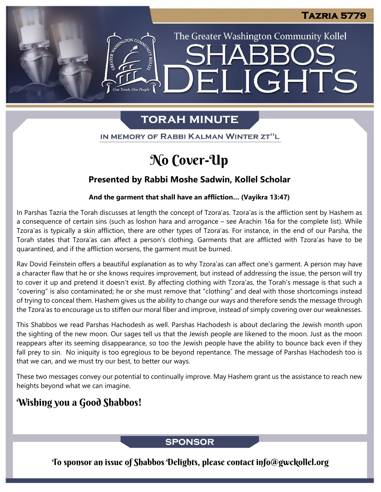The Greater Washington Community Kollel

LIGHTS

# **TORAH MINUTE**

EI

IN MEMORY OF RABBI KALMAN WINTER ZT"L

# No Cover-Up

### **Presented by Rabbi Moshe Sadwin, Kollel Scholar**

#### **And the garment that shall have an affliction… (Vayikra 13:47)**

In Parshas Tazria the Torah discusses at length the concept of Tzora'as. Tzora'as is the affliction sent by Hashem as a consequence of certain sins (such as loshon hara and arrogance – see Arachin 16a for the complete list). While Tzora'as is typically a skin affliction, there are other types of Tzora'as. For instance, in the end of our Parsha, the Torah states that Tzora'as can affect a person's clothing. Garments that are afflicted with Tzora'as have to be quarantined, and if the affliction worsens, the garment must be burned.

Rav Dovid Feinstein offers a beautiful explanation as to why Tzora'as can affect one's garment. A person may have a character flaw that he or she knows requires improvement, but instead of addressing the issue, the person will try to cover it up and pretend it doesn't exist. By affecting clothing with Tzora'as, the Torah's message is that such a "covering" is also contaminated; he or she must remove that "clothing" and deal with those shortcomings instead of trying to conceal them. Hashem gives us the ability to change our ways and therefore sends the message through the Tzora'as to encourage us to stiffen our moral fiber and improve, instead of simply covering over our weaknesses.

This Shabbos we read Parshas Hachodesh as well. Parshas Hachodesh is about declaring the Jewish month upon the sighting of the new moon. Our sages tell us that the Jewish people are likened to the moon. Just as the moon reappears after its seeming disappearance, so too the Jewish people have the ability to bounce back even if they fall prey to sin. No iniquity is too egregious to be beyond repentance. The message of Parshas Hachodesh too is that we can, and we must try our best, to better our ways.

These two messages convey our potential to continually improve. May Hashem grant us the assistance to reach new heights beyond what we can imagine.

## Wishing you a Good Shabbos!

### **SPONSOR**

To sponsor an issue of Shabbos Delights, please contact info@gwckollel.org